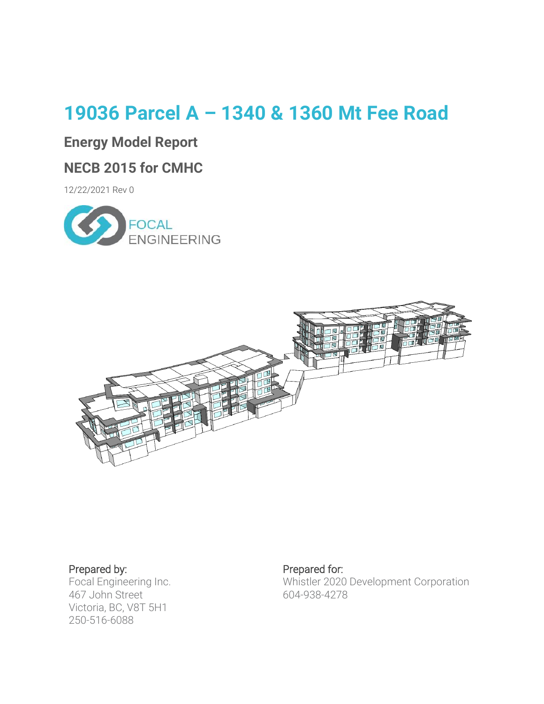# **19036 Parcel A – 1340 & 1360 Mt Fee Road**

## **Energy Model Report**

## **NECB 2015 for CMHC**

12/22/2021 Rev 0





### Prepared by:

Focal Engineering Inc. 467 John Street Victoria, BC, V8T 5H1 250-516-6088

## Prepared for:

Whistler 2020 Development Corporation 604-938-4278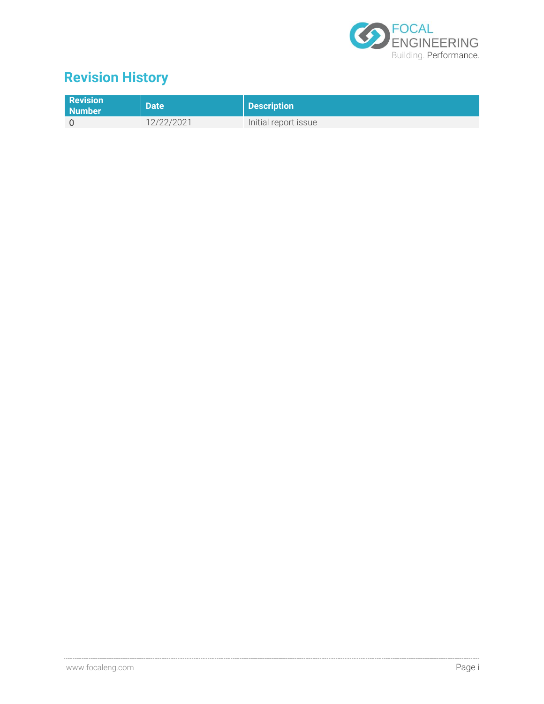

# **Revision History**

| <b>Revision</b><br>Number | <b>Date</b> | Description          |
|---------------------------|-------------|----------------------|
|                           | 12/22/2021  | Initial report issue |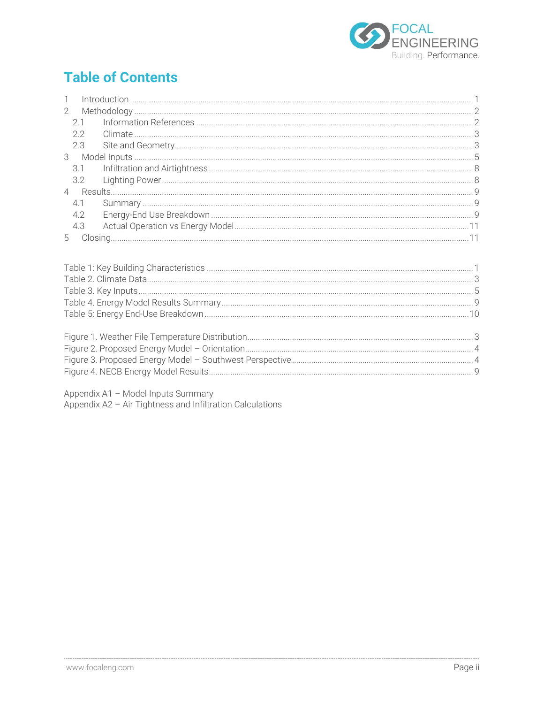

# **Table of Contents**

| $\mathbb{1}$   |     |  |
|----------------|-----|--|
| $\overline{2}$ |     |  |
|                | 2.1 |  |
|                | 2.2 |  |
|                | 2.3 |  |
|                |     |  |
|                |     |  |
|                |     |  |
|                |     |  |
|                | 4.1 |  |
|                | 4.2 |  |
|                | 4.3 |  |
| 5 <sup>5</sup> |     |  |

Appendix A1 - Model Inputs Summary<br>Appendix A2 - Air Tightness and Infiltration Calculations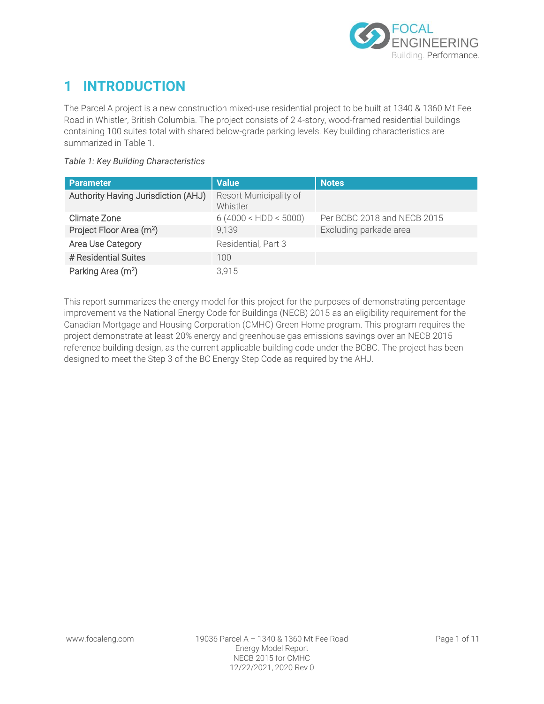

## <span id="page-3-0"></span>**1 INTRODUCTION**

The Parcel A project is a new construction mixed-use residential project to be built at 1340 & 1360 Mt Fee Road in Whistler, British Columbia. The project consists of 2 4-story, wood-framed residential buildings containing 100 suites total with shared below-grade parking levels. Key building characteristics are summarized in [Table 1.](#page-3-1)

#### <span id="page-3-1"></span>*Table 1: Key Building Characteristics*

| <b>Parameter</b>                     | <b>Value</b>                       | <b>Notes</b>                |
|--------------------------------------|------------------------------------|-----------------------------|
| Authority Having Jurisdiction (AHJ)  | Resort Municipality of<br>Whistler |                             |
| Climate Zone                         | 6(4000 < HDD < 5000)               | Per BCBC 2018 and NECB 2015 |
| Project Floor Area (m <sup>2</sup> ) | 9,139                              | Excluding parkade area      |
| Area Use Category                    | Residential, Part 3                |                             |
| # Residential Suites                 | 100                                |                             |
| Parking Area (m <sup>2</sup> )       | 3.915                              |                             |

This report summarizes the energy model for this project for the purposes of demonstrating percentage improvement vs the National Energy Code for Buildings (NECB) 2015 as an eligibility requirement for the Canadian Mortgage and Housing Corporation (CMHC) Green Home program. This program requires the project demonstrate at least 20% energy and greenhouse gas emissions savings over an NECB 2015 reference building design, as the current applicable building code under the BCBC. The project has been designed to meet the Step 3 of the BC Energy Step Code as required by the AHJ.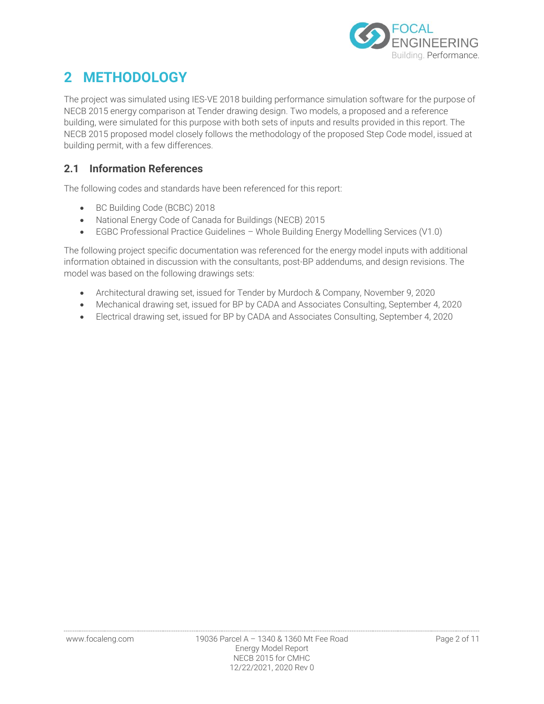

## <span id="page-4-0"></span>**2 METHODOLOGY**

The project was simulated using IES-VE 2018 building performance simulation software for the purpose of NECB 2015 energy comparison at Tender drawing design. Two models, a proposed and a reference building, were simulated for this purpose with both sets of inputs and results provided in this report. The NECB 2015 proposed model closely follows the methodology of the proposed Step Code model, issued at building permit, with a few differences.

### <span id="page-4-1"></span>**2.1 Information References**

The following codes and standards have been referenced for this report:

- BC Building Code (BCBC) 2018
- National Energy Code of Canada for Buildings (NECB) 2015
- EGBC Professional Practice Guidelines Whole Building Energy Modelling Services (V1.0)

The following project specific documentation was referenced for the energy model inputs with additional information obtained in discussion with the consultants, post-BP addendums, and design revisions. The model was based on the following drawings sets:

- Architectural drawing set, issued for Tender by Murdoch & Company, November 9, 2020
- Mechanical drawing set, issued for BP by CADA and Associates Consulting, September 4, 2020
- Electrical drawing set, issued for BP by CADA and Associates Consulting, September 4, 2020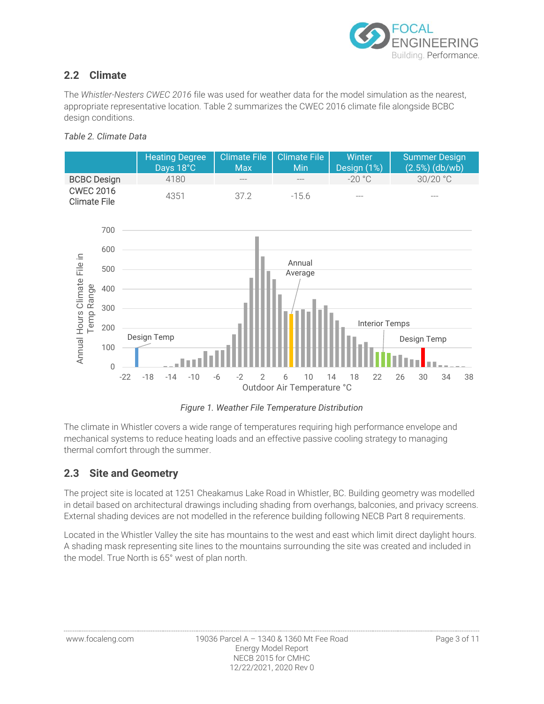

## <span id="page-5-0"></span>**2.2 Climate**

The *Whistler-Nesters CWEC 2016* file was used for weather data for the model simulation as the nearest, appropriate representative location. [Table 2 s](#page-5-2)ummarizes the CWEC 2016 climate file alongside BCBC design conditions.

#### <span id="page-5-2"></span>*Table 2. Climate Data*



*Figure 1. Weather File Temperature Distribution* 

<span id="page-5-3"></span>The climate in Whistler covers a wide range of temperatures requiring high performance envelope and mechanical systems to reduce heating loads and an effective passive cooling strategy to managing thermal comfort through the summer.

### <span id="page-5-1"></span>**2.3 Site and Geometry**

The project site is located at 1251 Cheakamus Lake Road in Whistler, BC. Building geometry was modelled in detail based on architectural drawings including shading from overhangs, balconies, and privacy screens. External shading devices are not modelled in the reference building following NECB Part 8 requirements.

Located in the Whistler Valley the site has mountains to the west and east which limit direct daylight hours. A shading mask representing site lines to the mountains surrounding the site was created and included in the model. True North is 65° west of plan north.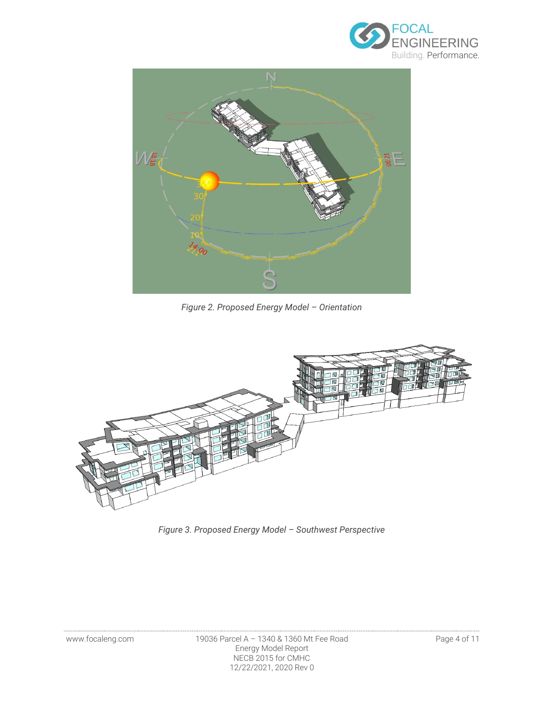



*Figure 2. Proposed Energy Model – Orientation* 

<span id="page-6-0"></span>

<span id="page-6-1"></span>*Figure 3. Proposed Energy Model – Southwest Perspective*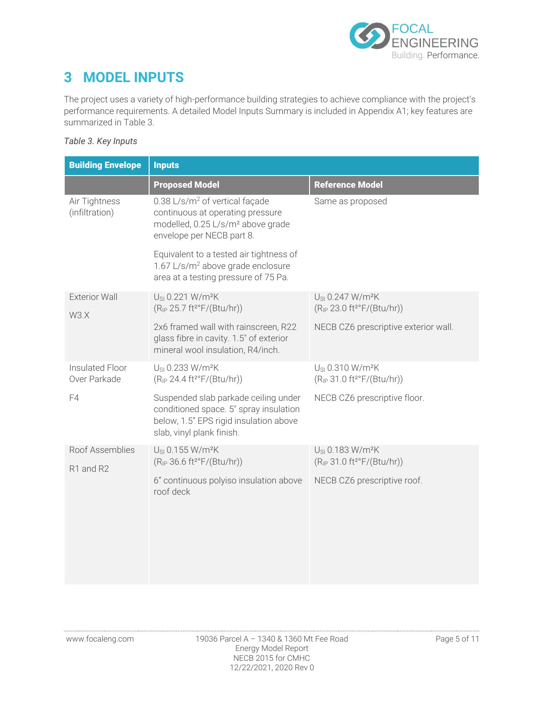

## <span id="page-7-0"></span>**3 MODEL INPUTS**

The project uses a variety of high-performance building strategies to achieve compliance with the project's performance requirements. A detailed Model Inputs Summary is included in Appendix A1; key features are summarized in [Table 3.](#page-7-1)

#### <span id="page-7-1"></span>*Table 3. Key Inputs*

| <b>Building Envelope</b>        | <b>Inputs</b>                                                                                                                                                |                                                                                                |  |  |  |  |  |
|---------------------------------|--------------------------------------------------------------------------------------------------------------------------------------------------------------|------------------------------------------------------------------------------------------------|--|--|--|--|--|
|                                 | <b>Proposed Model</b>                                                                                                                                        | <b>Reference Model</b>                                                                         |  |  |  |  |  |
| Air Tightness<br>(infiltration) | 0.38 L/s/m <sup>2</sup> of vertical façade<br>continuous at operating pressure<br>modelled, 0.25 L/s/m <sup>2</sup> above grade<br>envelope per NECB part 8. | Same as proposed                                                                               |  |  |  |  |  |
|                                 | Equivalent to a tested air tightness of<br>1.67 L/s/m <sup>2</sup> above grade enclosure<br>area at a testing pressure of 75 Pa.                             |                                                                                                |  |  |  |  |  |
| <b>Exterior Wall</b><br>W3.X    | U <sub>SI</sub> 0.221 W/m <sup>2</sup> K<br>(R <sub>IP</sub> 25.7 ft <sup>2</sup> °F/(Btu/hr))                                                               | U <sub>SI</sub> 0.247 W/m <sup>2</sup> K<br>(R <sub>IP</sub> 23.0 ft <sup>2</sup> °F/(Btu/hr)) |  |  |  |  |  |
|                                 | 2x6 framed wall with rainscreen, R22<br>glass fibre in cavity. 1.5" of exterior<br>mineral wool insulation, R4/inch.                                         | NECB CZ6 prescriptive exterior wall.                                                           |  |  |  |  |  |
| Insulated Floor<br>Over Parkade | U <sub>SI</sub> 0.233 W/m <sup>2</sup> K<br>(R <sub>IP</sub> 24.4 ft <sup>2</sup> °F/(Btu/hr))                                                               | U <sub>SI</sub> 0.310 W/m <sup>2</sup> K<br>(R <sub>IP</sub> 31.0 ft <sup>2</sup> °F/(Btu/hr)) |  |  |  |  |  |
| F4                              | Suspended slab parkade ceiling under<br>conditioned space. 5" spray insulation<br>below, 1.5" EPS rigid insulation above<br>slab, vinyl plank finish.        | NECB CZ6 prescriptive floor.                                                                   |  |  |  |  |  |
| Roof Assemblies<br>R1 and R2    | U <sub>SI</sub> 0.155 W/m <sup>2</sup> K<br>(R <sub>IP</sub> 36.6 ft <sup>2</sup> °F/(Btu/hr))                                                               | U <sub>SI</sub> 0.183 W/m <sup>2</sup> K<br>(R <sub>IP</sub> 31.0 ft <sup>2</sup> °F/(Btu/hr)) |  |  |  |  |  |
|                                 | 6" continuous polyiso insulation above<br>roof deck                                                                                                          | NECB CZ6 prescriptive roof.                                                                    |  |  |  |  |  |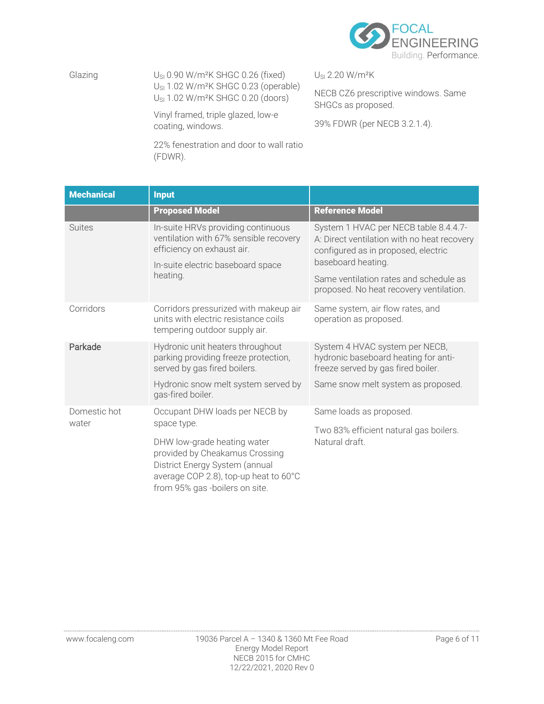

Glazing  $U_{\rm SI}$  0.90 W/m<sup>2</sup>K SHGC 0.26 (fixed) U<sub>SI</sub> 1.02 W/m<sup>2</sup>K SHGC 0.23 (operable) USI 1.02 W/m²K SHGC 0.20 (doors)

> Vinyl framed, triple glazed, low-e coating, windows.

22% fenestration and door to wall ratio (FDWR).

USI 2.20 W/m²K

NECB CZ6 prescriptive windows. Same SHGCs as proposed.

39% FDWR (per NECB 3.2.1.4).

| <b>Mechanical</b> | <b>Input</b>                                                                                                                                                               |                                                                                                                             |  |  |  |
|-------------------|----------------------------------------------------------------------------------------------------------------------------------------------------------------------------|-----------------------------------------------------------------------------------------------------------------------------|--|--|--|
|                   | <b>Proposed Model</b>                                                                                                                                                      | <b>Reference Model</b>                                                                                                      |  |  |  |
| <b>Suites</b>     | In-suite HRVs providing continuous<br>ventilation with 67% sensible recovery<br>efficiency on exhaust air.                                                                 | System 1 HVAC per NECB table 8.4.4.7-<br>A: Direct ventilation with no heat recovery<br>configured as in proposed, electric |  |  |  |
|                   | In-suite electric baseboard space                                                                                                                                          | baseboard heating.                                                                                                          |  |  |  |
|                   | heating.                                                                                                                                                                   | Same ventilation rates and schedule as<br>proposed. No heat recovery ventilation.                                           |  |  |  |
| Corridors         | Corridors pressurized with makeup air<br>units with electric resistance coils<br>tempering outdoor supply air.                                                             | Same system, air flow rates, and<br>operation as proposed.                                                                  |  |  |  |
| Parkade           | Hydronic unit heaters throughout<br>parking providing freeze protection,<br>served by gas fired boilers.                                                                   | System 4 HVAC system per NECB,<br>hydronic baseboard heating for anti-<br>freeze served by gas fired boiler.                |  |  |  |
|                   | Hydronic snow melt system served by<br>gas-fired boiler.                                                                                                                   | Same snow melt system as proposed.                                                                                          |  |  |  |
| Domestic hot      | Occupant DHW loads per NECB by                                                                                                                                             | Same loads as proposed.                                                                                                     |  |  |  |
| water             | space type.                                                                                                                                                                | Two 83% efficient natural gas boilers.                                                                                      |  |  |  |
|                   | DHW low-grade heating water<br>provided by Cheakamus Crossing<br>District Energy System (annual<br>average COP 2.8), top-up heat to 60°C<br>from 95% gas -boilers on site. | Natural draft.                                                                                                              |  |  |  |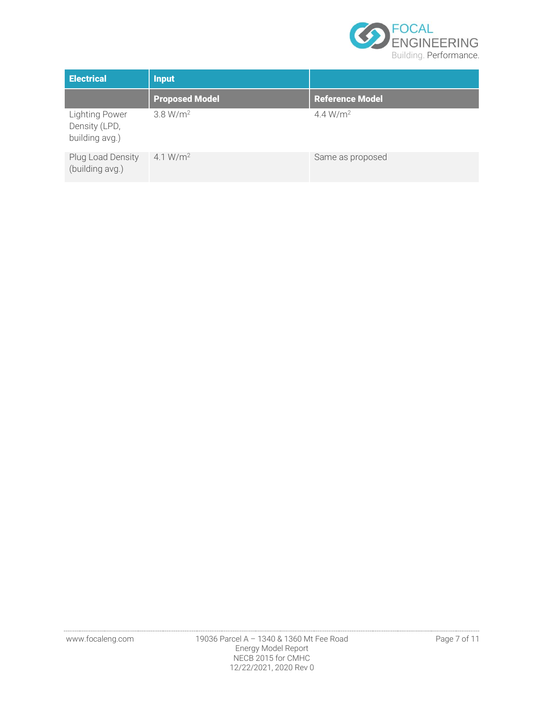

| <b>Electrical</b>                                        | <b>Input</b>          |                        |  |  |
|----------------------------------------------------------|-----------------------|------------------------|--|--|
|                                                          | <b>Proposed Model</b> | <b>Reference Model</b> |  |  |
| <b>Lighting Power</b><br>Density (LPD,<br>building avg.) | 3.8 W/m <sup>2</sup>  | 4.4 $W/m^2$            |  |  |
| Plug Load Density<br>(building avg.)                     | 4.1 $W/m^2$           | Same as proposed       |  |  |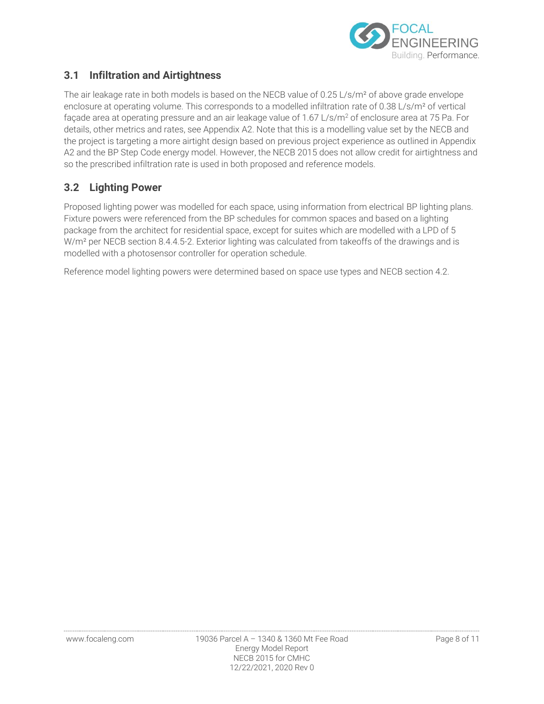

### <span id="page-10-0"></span>**3.1 Infiltration and Airtightness**

The air leakage rate in both models is based on the NECB value of 0.25 L/s/m<sup>2</sup> of above grade envelope enclosure at operating volume. This corresponds to a modelled infiltration rate of 0.38 L/s/m<sup>2</sup> of vertical façade area at operating pressure and an air leakage value of 1.67 L/s/m<sup>2</sup> of enclosure area at 75 Pa. For details, other metrics and rates, see Appendix A2. Note that this is a modelling value set by the NECB and the project is targeting a more airtight design based on previous project experience as outlined in Appendix A2 and the BP Step Code energy model. However, the NECB 2015 does not allow credit for airtightness and so the prescribed infiltration rate is used in both proposed and reference models.

### <span id="page-10-1"></span>**3.2 Lighting Power**

Proposed lighting power was modelled for each space, using information from electrical BP lighting plans. Fixture powers were referenced from the BP schedules for common spaces and based on a lighting package from the architect for residential space, except for suites which are modelled with a LPD of 5 W/m<sup>2</sup> per NECB section 8.4.4.5-2. Exterior lighting was calculated from takeoffs of the drawings and is modelled with a photosensor controller for operation schedule.

Reference model lighting powers were determined based on space use types and NECB section 4.2.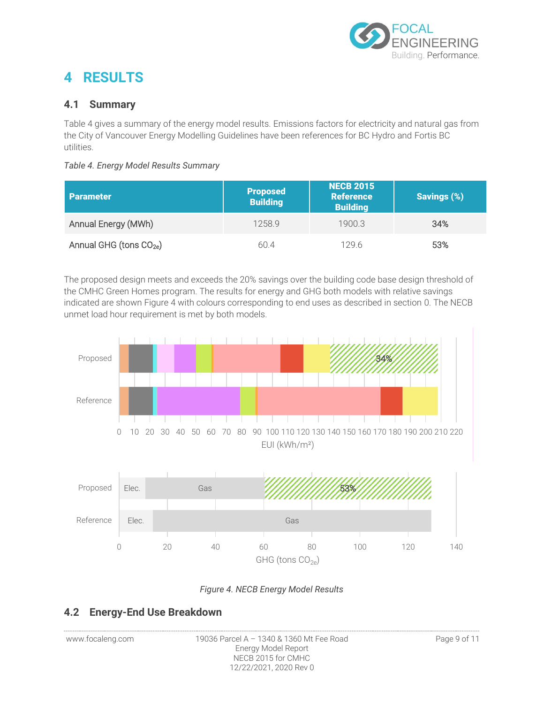

## <span id="page-11-0"></span>**4 RESULTS**

### <span id="page-11-1"></span>**4.1 Summary**

[Table 4](#page-11-3) gives a summary of the energy model results. Emissions factors for electricity and natural gas from the City of Vancouver Energy Modelling Guidelines have been references for BC Hydro and Fortis BC utilities.

#### <span id="page-11-3"></span>*Table 4. Energy Model Results Summary*

| <b>Parameter</b>                    | <b>Proposed</b><br><b>Building</b> | <b>NECB 2015</b><br><b>Reference</b><br><b>Building</b> | <b>Savings (%)</b> |
|-------------------------------------|------------------------------------|---------------------------------------------------------|--------------------|
| Annual Energy (MWh)                 | 1258.9                             | 19003                                                   | 34%                |
| Annual GHG (tons CO <sub>2e</sub> ) | 60.4                               | 129.6                                                   | 53%                |

The proposed design meets and exceeds the 20% savings over the building code base design threshold of the CMHC Green Homes program. The results for energy and GHG both models with relative savings indicated are shown [Figure 4](#page-11-4) with colours corresponding to end uses as described in section [0.](#page-11-5) The NECB unmet load hour requirement is met by both models.



#### <span id="page-11-5"></span>*Figure 4. NECB Energy Model Results*

### <span id="page-11-4"></span><span id="page-11-2"></span>**4.2 Energy-End Use Breakdown**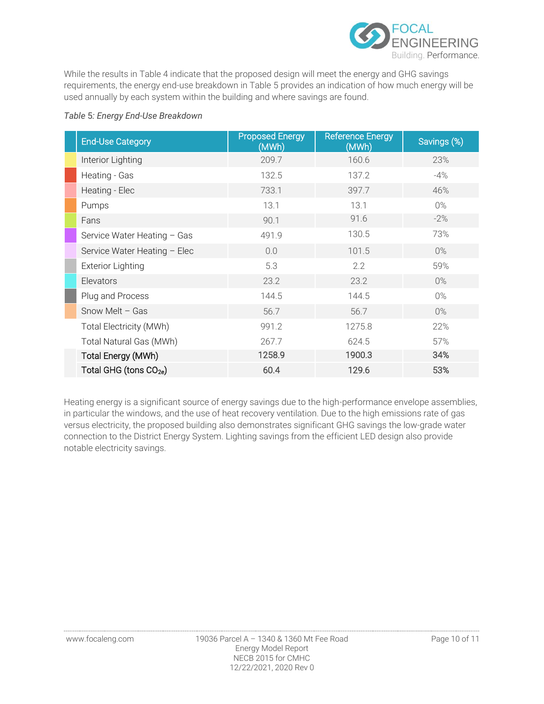

While the results in [Table 4 i](#page-11-3)ndicate that the proposed design will meet the energy and GHG savings requirements, the energy end-use breakdown in [Table 5 p](#page-12-0)rovides an indication of how much energy will be used annually by each system within the building and where savings are found.

#### <span id="page-12-0"></span>*Table* 5*: Energy End-Use Breakdown*

| <b>End-Use Category</b>            | <b>Proposed Energy</b><br>(MWh) | <b>Reference Energy</b><br>(MWh) | Savings (%) |
|------------------------------------|---------------------------------|----------------------------------|-------------|
| Interior Lighting                  | 209.7                           | 160.6                            | 23%         |
| Heating - Gas                      | 132.5                           | 137.2                            | $-4%$       |
| Heating - Elec                     | 733.1                           | 397.7                            | 46%         |
| Pumps                              | 13.1                            | 13.1                             | $0\%$       |
| Fans                               | 90.1                            | 91.6                             | $-2\%$      |
| Service Water Heating - Gas        | 491.9                           | 130.5                            | 73%         |
| Service Water Heating - Elec       | 0.0                             | 101.5                            | $0\%$       |
| <b>Exterior Lighting</b>           | 5.3                             | 2.2                              | 59%         |
| Elevators                          | 23.2                            | 23.2                             | 0%          |
| Plug and Process                   | 144.5                           | 144.5                            | $0\%$       |
| Snow Melt $-$ Gas                  | 56.7                            | 56.7                             | 0%          |
| Total Electricity (MWh)            | 991.2                           | 1275.8                           | 22%         |
| Total Natural Gas (MWh)            | 267.7                           | 624.5                            | 57%         |
| Total Energy (MWh)                 | 1258.9                          | 1900.3                           | 34%         |
| Total GHG (tons CO <sub>2e</sub> ) | 60.4                            | 129.6                            | 53%         |

Heating energy is a significant source of energy savings due to the high-performance envelope assemblies, in particular the windows, and the use of heat recovery ventilation. Due to the high emissions rate of gas versus electricity, the proposed building also demonstrates significant GHG savings the low-grade water connection to the District Energy System. Lighting savings from the efficient LED design also provide notable electricity savings.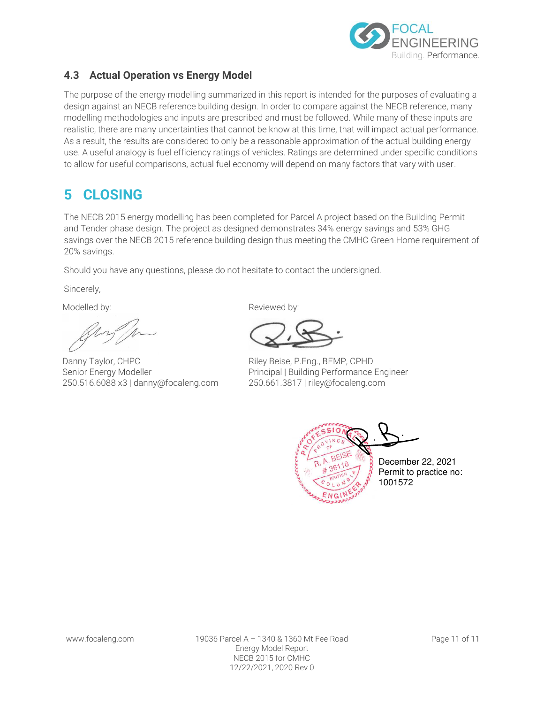

### <span id="page-13-0"></span>**4.3 Actual Operation vs Energy Model**

The purpose of the energy modelling summarized in this report is intended for the purposes of evaluating a design against an NECB reference building design. In order to compare against the NECB reference, many modelling methodologies and inputs are prescribed and must be followed. While many of these inputs are realistic, there are many uncertainties that cannot be know at this time, that will impact actual performance. As a result, the results are considered to only be a reasonable approximation of the actual building energy use. A useful analogy is fuel efficiency ratings of vehicles. Ratings are determined under specific conditions to allow for useful comparisons, actual fuel economy will depend on many factors that vary with user.

## <span id="page-13-1"></span>**5 CLOSING**

The NECB 2015 energy modelling has been completed for Parcel A project based on the Building Permit and Tender phase design. The project as designed demonstrates 34% energy savings and 53% GHG savings over the NECB 2015 reference building design thus meeting the CMHC Green Home requirement of 20% savings.

Should you have any questions, please do not hesitate to contact the undersigned.

Sincerely,

Danny Taylor, CHPC Senior Energy Modeller 250.516.6088 x3 | danny@focaleng.com

Modelled by: Nodelled by: Reviewed by:

Riley Beise, P.Eng., BEMP, CPHD Principal | Building Performance Engineer 250.661.3817 | riley@focaleng.com

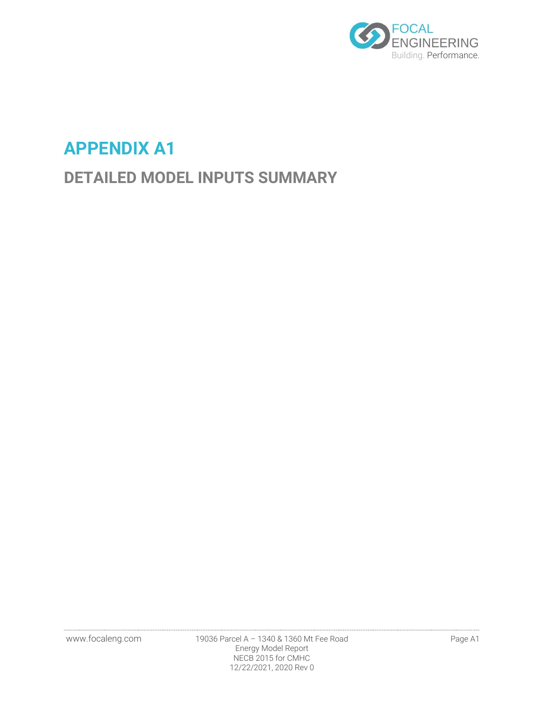

# **APPENDIX A1**

# **DETAILED MODEL INPUTS SUMMARY**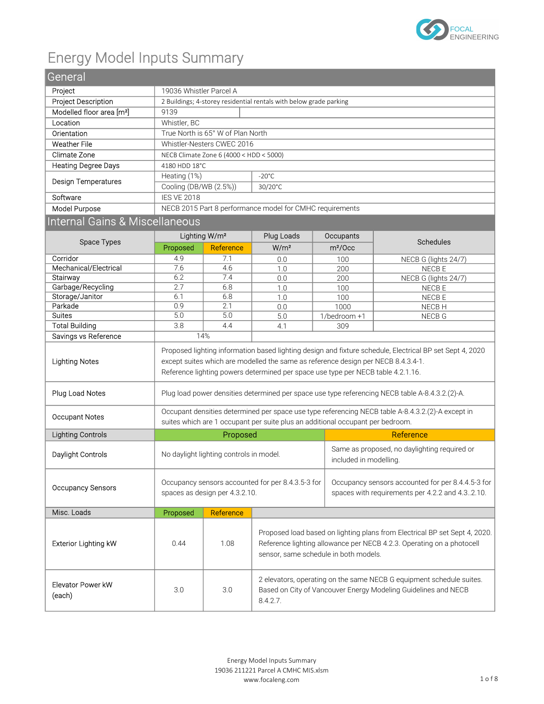

# Energy Model Inputs Summary

| ر ب                                   |                                                                                                                                                                                             |                                         |                                                                                                                                                                                              |                        |                                                                                                          |  |  |  |  |
|---------------------------------------|---------------------------------------------------------------------------------------------------------------------------------------------------------------------------------------------|-----------------------------------------|----------------------------------------------------------------------------------------------------------------------------------------------------------------------------------------------|------------------------|----------------------------------------------------------------------------------------------------------|--|--|--|--|
| General                               |                                                                                                                                                                                             |                                         |                                                                                                                                                                                              |                        |                                                                                                          |  |  |  |  |
| Project                               | 19036 Whistler Parcel A                                                                                                                                                                     |                                         |                                                                                                                                                                                              |                        |                                                                                                          |  |  |  |  |
| Project Description                   | 2 Buildings; 4-storey residential rentals with below grade parking                                                                                                                          |                                         |                                                                                                                                                                                              |                        |                                                                                                          |  |  |  |  |
| Modelled floor area [m <sup>2</sup> ] | 9139                                                                                                                                                                                        |                                         |                                                                                                                                                                                              |                        |                                                                                                          |  |  |  |  |
| Location                              | Whistler, BC                                                                                                                                                                                |                                         |                                                                                                                                                                                              |                        |                                                                                                          |  |  |  |  |
| Orientation                           | True North is 65° W of Plan North                                                                                                                                                           |                                         |                                                                                                                                                                                              |                        |                                                                                                          |  |  |  |  |
| <b>Weather File</b>                   |                                                                                                                                                                                             | Whistler-Nesters CWEC 2016              |                                                                                                                                                                                              |                        |                                                                                                          |  |  |  |  |
| Climate Zone                          |                                                                                                                                                                                             | NECB Climate Zone 6 (4000 < HDD < 5000) |                                                                                                                                                                                              |                        |                                                                                                          |  |  |  |  |
| <b>Heating Degree Days</b>            | 4180 HDD 18°C                                                                                                                                                                               |                                         |                                                                                                                                                                                              |                        |                                                                                                          |  |  |  |  |
|                                       | Heating (1%)                                                                                                                                                                                |                                         | $-20^{\circ}$ C                                                                                                                                                                              |                        |                                                                                                          |  |  |  |  |
| <b>Design Temperatures</b>            | Cooling (DB/WB (2.5%))                                                                                                                                                                      |                                         | 30/20°C                                                                                                                                                                                      |                        |                                                                                                          |  |  |  |  |
| Software                              | <b>IES VE 2018</b>                                                                                                                                                                          |                                         |                                                                                                                                                                                              |                        |                                                                                                          |  |  |  |  |
| Model Purpose                         |                                                                                                                                                                                             |                                         | NECB 2015 Part 8 performance model for CMHC requirements                                                                                                                                     |                        |                                                                                                          |  |  |  |  |
| Internal Gains & Miscellaneous        |                                                                                                                                                                                             |                                         |                                                                                                                                                                                              |                        |                                                                                                          |  |  |  |  |
|                                       |                                                                                                                                                                                             | Lighting W/m <sup>2</sup>               | Plug Loads                                                                                                                                                                                   | Occupants              |                                                                                                          |  |  |  |  |
| Space Types                           | Proposed                                                                                                                                                                                    | Reference                               | W/m <sup>2</sup>                                                                                                                                                                             | m <sup>2</sup> /Occ    | Schedules                                                                                                |  |  |  |  |
| Corridor                              | 4.9                                                                                                                                                                                         | 7.1                                     | 0.0                                                                                                                                                                                          | 100                    | NECB G (lights 24/7)                                                                                     |  |  |  |  |
| Mechanical/Electrical                 | 7.6                                                                                                                                                                                         | 4.6                                     | 1.0                                                                                                                                                                                          | 200                    | NECB E                                                                                                   |  |  |  |  |
| Stairway                              | 6.2                                                                                                                                                                                         | 7.4                                     | 0.0                                                                                                                                                                                          | 200                    | NECB G (lights 24/7)                                                                                     |  |  |  |  |
| Garbage/Recycling                     | 2.7                                                                                                                                                                                         | 6.8                                     | 1.0                                                                                                                                                                                          | 100                    | NECB E                                                                                                   |  |  |  |  |
| Storage/Janitor                       | 6.1                                                                                                                                                                                         | 6.8                                     | 1.0                                                                                                                                                                                          | 100                    | NECB E                                                                                                   |  |  |  |  |
| Parkade                               | 0.9                                                                                                                                                                                         | 2.1                                     | 0.0                                                                                                                                                                                          | 1000                   | NECB H                                                                                                   |  |  |  |  |
| <b>Suites</b>                         | 5.0<br>5.0                                                                                                                                                                                  |                                         | 5.0                                                                                                                                                                                          | 1/bedroom +1           | NECB G                                                                                                   |  |  |  |  |
| <b>Total Building</b>                 | 3.8<br>4.4                                                                                                                                                                                  |                                         | 4.1                                                                                                                                                                                          | 309                    |                                                                                                          |  |  |  |  |
| Savings vs Reference                  | 14%                                                                                                                                                                                         |                                         |                                                                                                                                                                                              |                        |                                                                                                          |  |  |  |  |
| <b>Lighting Notes</b>                 |                                                                                                                                                                                             |                                         | except suites which are modelled the same as reference design per NECB 8.4.3.4-1.<br>Reference lighting powers determined per space use type per NECB table 4.2.1.16.                        |                        | Proposed lighting information based lighting design and fixture schedule, Electrical BP set Sept 4, 2020 |  |  |  |  |
| Plug Load Notes                       |                                                                                                                                                                                             |                                         |                                                                                                                                                                                              |                        | Plug load power densities determined per space use type referencing NECB table A-8.4.3.2.(2)-A.          |  |  |  |  |
| <b>Occupant Notes</b>                 |                                                                                                                                                                                             |                                         | suites which are 1 occupant per suite plus an additional occupant per bedroom.                                                                                                               |                        | Occupant densities determined per space use type referencing NECB table A-8.4.3.2.(2)-A except in        |  |  |  |  |
| <b>Lighting Controls</b>              |                                                                                                                                                                                             | Proposed                                |                                                                                                                                                                                              |                        | Reference                                                                                                |  |  |  |  |
| Daylight Controls                     |                                                                                                                                                                                             | No daylight lighting controls in model. |                                                                                                                                                                                              | included in modelling. | Same as proposed, no daylighting required or                                                             |  |  |  |  |
| <b>Occupancy Sensors</b>              | Occupancy sensors accounted for per 8.4.3.5-3 for<br>Occupancy sensors accounted for per 8.4.4.5-3 for<br>spaces as design per 4.3.2.10.<br>spaces with requirements per 4.2.2 and 4.32.10. |                                         |                                                                                                                                                                                              |                        |                                                                                                          |  |  |  |  |
| Misc. Loads                           | Proposed                                                                                                                                                                                    | Reference                               |                                                                                                                                                                                              |                        |                                                                                                          |  |  |  |  |
| <b>Exterior Lighting kW</b>           | 0.44                                                                                                                                                                                        | 1.08                                    | Proposed load based on lighting plans from Electrical BP set Sept 4, 2020.<br>Reference lighting allowance per NECB 4.2.3. Operating on a photocell<br>sensor, same schedule in both models. |                        |                                                                                                          |  |  |  |  |
| Elevator Power kW<br>(each)           | 3.0                                                                                                                                                                                         | 3.0                                     | 2 elevators, operating on the same NECB G equipment schedule suites.<br>Based on City of Vancouver Energy Modeling Guidelines and NECB<br>8.4.2.7.                                           |                        |                                                                                                          |  |  |  |  |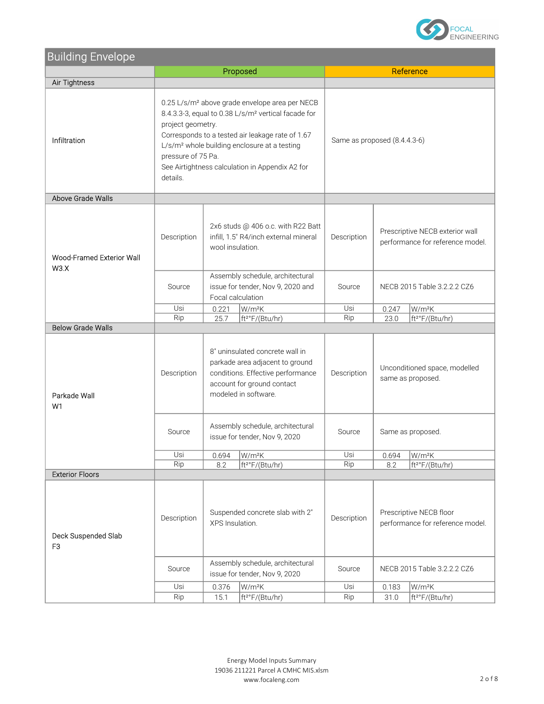

| <b>Building Envelope</b>                   |                                                                                                                                                                                                                                                                                                                                                         |                                                                                                                                                                                       |                                                                                                                                                               |                                                             |                             |                                                    |  |
|--------------------------------------------|---------------------------------------------------------------------------------------------------------------------------------------------------------------------------------------------------------------------------------------------------------------------------------------------------------------------------------------------------------|---------------------------------------------------------------------------------------------------------------------------------------------------------------------------------------|---------------------------------------------------------------------------------------------------------------------------------------------------------------|-------------------------------------------------------------|-----------------------------|----------------------------------------------------|--|
|                                            |                                                                                                                                                                                                                                                                                                                                                         |                                                                                                                                                                                       | Proposed                                                                                                                                                      | Reference                                                   |                             |                                                    |  |
| Air Tightness                              |                                                                                                                                                                                                                                                                                                                                                         |                                                                                                                                                                                       |                                                                                                                                                               |                                                             |                             |                                                    |  |
| Infiltration                               | 0.25 L/s/m <sup>2</sup> above grade envelope area per NECB<br>8.4.3.3-3, equal to 0.38 L/s/m <sup>2</sup> vertical facade for<br>project geometry.<br>Corresponds to a tested air leakage rate of 1.67<br>L/s/m <sup>2</sup> whole building enclosure at a testing<br>pressure of 75 Pa.<br>See Airtightness calculation in Appendix A2 for<br>details. |                                                                                                                                                                                       |                                                                                                                                                               | Same as proposed (8.4.4.3-6)                                |                             |                                                    |  |
| Above Grade Walls                          |                                                                                                                                                                                                                                                                                                                                                         |                                                                                                                                                                                       |                                                                                                                                                               |                                                             |                             |                                                    |  |
| Wood-Framed Exterior Wall<br>W3.X          | Description                                                                                                                                                                                                                                                                                                                                             | 2x6 studs @ 406 o.c. with R22 Batt<br>Prescriptive NECB exterior wall<br>infill, 1.5" R4/inch external mineral<br>Description<br>performance for reference model.<br>wool insulation. |                                                                                                                                                               |                                                             |                             |                                                    |  |
|                                            | Source                                                                                                                                                                                                                                                                                                                                                  |                                                                                                                                                                                       | Assembly schedule, architectural<br>issue for tender, Nov 9, 2020 and<br>Focal calculation                                                                    | Source                                                      | NECB 2015 Table 3.2.2.2 CZ6 |                                                    |  |
|                                            | Usi                                                                                                                                                                                                                                                                                                                                                     | 0.221                                                                                                                                                                                 | W/m <sup>2</sup> K                                                                                                                                            | Usi                                                         | 0.247                       | W/m <sup>2</sup> K                                 |  |
| <b>Below Grade Walls</b>                   | Rip                                                                                                                                                                                                                                                                                                                                                     | 25.7                                                                                                                                                                                  | ft <sup>2°</sup> F/(Btu/hr)                                                                                                                                   | Rip                                                         | 23.0                        | ft <sup>2°</sup> F/(Btu/hr)                        |  |
| Parkade Wall<br>W1                         | Description                                                                                                                                                                                                                                                                                                                                             |                                                                                                                                                                                       | 8" uninsulated concrete wall in<br>parkade area adjacent to ground<br>conditions. Effective performance<br>account for ground contact<br>modeled in software. | Description                                                 |                             | Unconditioned space, modelled<br>same as proposed. |  |
|                                            | Source                                                                                                                                                                                                                                                                                                                                                  |                                                                                                                                                                                       | Assembly schedule, architectural<br>issue for tender, Nov 9, 2020                                                                                             | Source<br>Same as proposed.                                 |                             |                                                    |  |
|                                            | Usi                                                                                                                                                                                                                                                                                                                                                     | 0.694                                                                                                                                                                                 | W/m <sup>2</sup> K                                                                                                                                            | Usi                                                         | 0.694                       | W/m <sup>2</sup> K                                 |  |
|                                            | Rip                                                                                                                                                                                                                                                                                                                                                     | 8.2                                                                                                                                                                                   | ft <sup>2°</sup> F/(Btu/hr)                                                                                                                                   | Rip                                                         | 8.2                         | ft <sup>2°</sup> F/(Btu/hr)                        |  |
| <b>Exterior Floors</b>                     |                                                                                                                                                                                                                                                                                                                                                         |                                                                                                                                                                                       |                                                                                                                                                               |                                                             |                             |                                                    |  |
| Deck Suspended Slab<br>F <sub>3</sub>      | Suspended concrete slab with 2"<br>Description<br>XPS Insulation.                                                                                                                                                                                                                                                                                       |                                                                                                                                                                                       | Description                                                                                                                                                   | Prescriptive NECB floor<br>performance for reference model. |                             |                                                    |  |
|                                            | Source                                                                                                                                                                                                                                                                                                                                                  |                                                                                                                                                                                       | Assembly schedule, architectural<br>issue for tender, Nov 9, 2020                                                                                             | Source                                                      | NECB 2015 Table 3.2.2.2 CZ6 |                                                    |  |
|                                            | Usi                                                                                                                                                                                                                                                                                                                                                     | 0.376                                                                                                                                                                                 | W/m <sup>2</sup> K                                                                                                                                            | Usi                                                         | 0.183                       | W/m <sup>2</sup> K                                 |  |
| Rip<br>ft <sup>2°</sup> F/(Btu/hr)<br>15.1 |                                                                                                                                                                                                                                                                                                                                                         |                                                                                                                                                                                       |                                                                                                                                                               | Rip                                                         | 31.0                        | ft <sup>2°</sup> F/(Btu/hr)                        |  |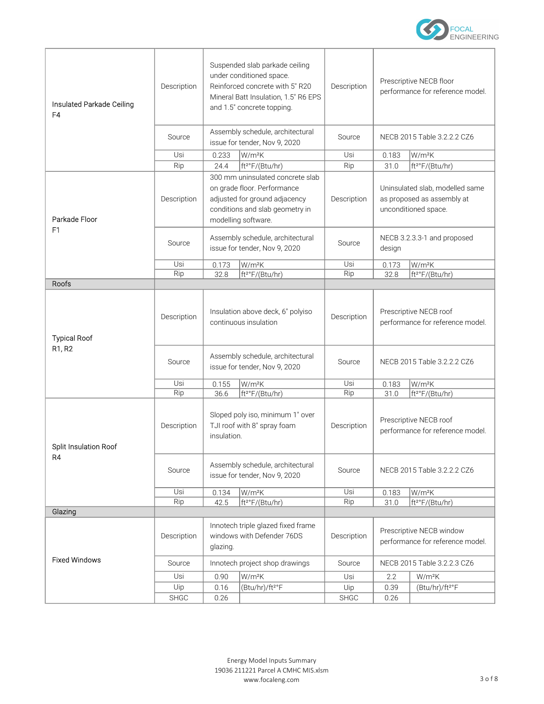

| Insulated Parkade Ceiling<br>F <sub>4</sub> | Description<br>Source<br>Usi | 0.233                                                                                                                                                      | Suspended slab parkade ceiling<br>under conditioned space.<br>Reinforced concrete with 5" R20<br>Mineral Batt Insulation, 1.5" R6 EPS<br>and 1.5" concrete topping.<br>Assembly schedule, architectural<br>issue for tender, Nov 9, 2020<br>W/m <sup>2</sup> K | Description<br>Source<br>Usi | Prescriptive NECB floor<br>performance for reference model.<br>NECB 2015 Table 3.2.2.2 CZ6<br>0.183<br>$W/m^2K$ |                             |
|---------------------------------------------|------------------------------|------------------------------------------------------------------------------------------------------------------------------------------------------------|----------------------------------------------------------------------------------------------------------------------------------------------------------------------------------------------------------------------------------------------------------------|------------------------------|-----------------------------------------------------------------------------------------------------------------|-----------------------------|
|                                             | Rip                          | 24.4                                                                                                                                                       | ft <sup>2°</sup> F/(Btu/hr)                                                                                                                                                                                                                                    | Rip                          | 31.0                                                                                                            | ft <sup>2°</sup> F/(Btu/hr) |
| Parkade Floor                               | Description                  | 300 mm uninsulated concrete slab<br>on grade floor. Performance<br>adjusted for ground adjacency<br>conditions and slab geometry in<br>modelling software. |                                                                                                                                                                                                                                                                | Description                  | Uninsulated slab, modelled same<br>as proposed as assembly at<br>unconditioned space.                           |                             |
| F <sub>1</sub>                              | Source                       |                                                                                                                                                            | Assembly schedule, architectural<br>issue for tender, Nov 9, 2020                                                                                                                                                                                              | Source                       | NECB 3.2.3.3-1 and proposed<br>design                                                                           |                             |
|                                             | Usi                          | 0.173                                                                                                                                                      | W/m <sup>2</sup> K                                                                                                                                                                                                                                             | Usi                          | 0.173                                                                                                           | W/m <sup>2</sup> K          |
|                                             | Rip                          | 32.8                                                                                                                                                       | ft <sup>2°</sup> F/(Btu/hr)                                                                                                                                                                                                                                    | Rip                          | 32.8                                                                                                            | ft <sup>2°</sup> F/(Btu/hr) |
| Roofs                                       |                              |                                                                                                                                                            |                                                                                                                                                                                                                                                                |                              |                                                                                                                 |                             |
| <b>Typical Roof</b>                         | Description                  | Insulation above deck, 6" polyiso<br>continuous insulation                                                                                                 |                                                                                                                                                                                                                                                                | Description                  | Prescriptive NECB roof<br>performance for reference model.                                                      |                             |
| R <sub>1</sub> , R <sub>2</sub>             | Source                       | Assembly schedule, architectural<br>issue for tender, Nov 9, 2020                                                                                          |                                                                                                                                                                                                                                                                | Source                       |                                                                                                                 | NECB 2015 Table 3.2.2.2 CZ6 |
|                                             | Usi                          | 0.155                                                                                                                                                      | W/m <sup>2</sup> K                                                                                                                                                                                                                                             | Usi                          | 0.183                                                                                                           | W/m <sup>2</sup> K          |
|                                             | Rip                          | 36.6                                                                                                                                                       | ft <sup>2°</sup> F/(Btu/hr)                                                                                                                                                                                                                                    | Rip                          | 31.0                                                                                                            | ft <sup>2°</sup> F/(Btu/hr) |
| <b>Split Insulation Roof</b>                | Description                  | insulation.                                                                                                                                                | Sloped poly iso, minimum 1" over<br>TJI roof with 8" spray foam                                                                                                                                                                                                | Description                  | Prescriptive NECB roof<br>performance for reference model.                                                      |                             |
| R4                                          | Source                       | Assembly schedule, architectural<br>issue for tender, Nov 9, 2020                                                                                          |                                                                                                                                                                                                                                                                | Source                       | NECB 2015 Table 3.2.2.2 CZ6                                                                                     |                             |
|                                             | Usi                          | 0.134                                                                                                                                                      | W/m <sup>2</sup> K                                                                                                                                                                                                                                             | Usi                          | 0.183                                                                                                           | W/m <sup>2</sup> K          |
|                                             | Rip                          | 42.5                                                                                                                                                       | ft <sup>2°</sup> F/(Btu/hr)                                                                                                                                                                                                                                    | Rip                          | 31.0                                                                                                            | ft <sup>2°</sup> F/(Btu/hr) |
| Glazing                                     |                              |                                                                                                                                                            |                                                                                                                                                                                                                                                                |                              |                                                                                                                 |                             |
|                                             | Description                  | glazing.                                                                                                                                                   | Innotech triple glazed fixed frame<br>windows with Defender 76DS                                                                                                                                                                                               | Description                  | Prescriptive NECB window<br>performance for reference model.                                                    |                             |
| <b>Fixed Windows</b>                        | Source                       |                                                                                                                                                            | Innotech project shop drawings                                                                                                                                                                                                                                 | Source                       |                                                                                                                 | NECB 2015 Table 3.2.2.3 CZ6 |
|                                             | Usi                          | 0.90                                                                                                                                                       | W/m <sup>2</sup> K                                                                                                                                                                                                                                             | Usi                          | 2.2                                                                                                             | W/m <sup>2</sup> K          |
|                                             | Uip                          | 0.16                                                                                                                                                       | (Btu/hr)/ft <sup>2°</sup> F                                                                                                                                                                                                                                    | Uip                          | 0.39                                                                                                            | (Btu/hr)/ft <sup>2°</sup> F |
|                                             | SHGC                         | 0.26                                                                                                                                                       |                                                                                                                                                                                                                                                                | <b>SHGC</b>                  | 0.26                                                                                                            |                             |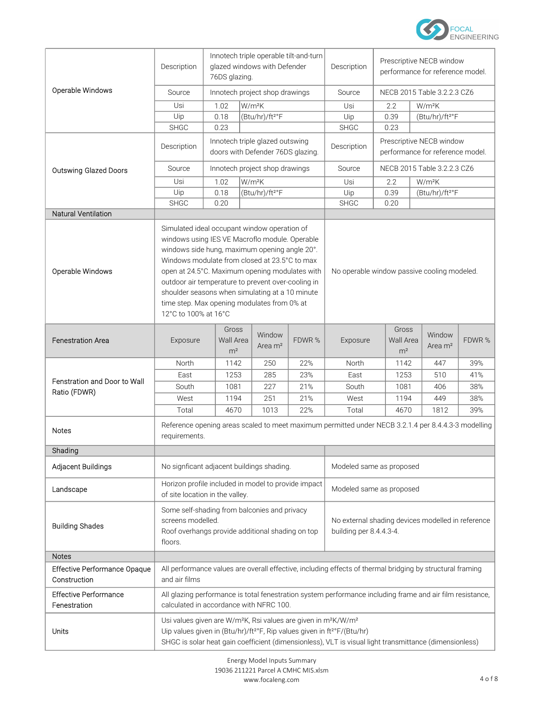

|                                              | Description                                                                                                                                                                                                                                                                                                      | Innotech triple operable tilt-and-turn<br>glazed windows with Defender<br>76DS glazing. |                    |                                             |                             | Description                                                                  | Prescriptive NECB window<br>performance for reference model. |                                      |                               |        |
|----------------------------------------------|------------------------------------------------------------------------------------------------------------------------------------------------------------------------------------------------------------------------------------------------------------------------------------------------------------------|-----------------------------------------------------------------------------------------|--------------------|---------------------------------------------|-----------------------------|------------------------------------------------------------------------------|--------------------------------------------------------------|--------------------------------------|-------------------------------|--------|
| Operable Windows                             | Source                                                                                                                                                                                                                                                                                                           | Innotech project shop drawings                                                          |                    |                                             | Source                      | NECB 2015 Table 3.2.2.3 CZ6                                                  |                                                              |                                      |                               |        |
|                                              | Usi                                                                                                                                                                                                                                                                                                              | 1.02                                                                                    | W/m <sup>2</sup> K |                                             | Usi                         |                                                                              | 2.2                                                          | W/m <sup>2</sup> K                   |                               |        |
|                                              | Uip                                                                                                                                                                                                                                                                                                              | 0.18                                                                                    |                    | (Btu/hr)/ft <sup>2°</sup> F                 |                             | Uip                                                                          |                                                              | 0.39                                 | (Btu/hr)/ft <sup>2°</sup> F   |        |
|                                              | <b>SHGC</b>                                                                                                                                                                                                                                                                                                      | 0.23                                                                                    |                    |                                             |                             | <b>SHGC</b>                                                                  |                                                              | 0.23                                 |                               |        |
|                                              | Description                                                                                                                                                                                                                                                                                                      | Innotech triple glazed outswing<br>doors with Defender 76DS glazing.                    |                    |                                             |                             | Description                                                                  | Prescriptive NECB window<br>performance for reference model. |                                      |                               |        |
| <b>Outswing Glazed Doors</b>                 | Source                                                                                                                                                                                                                                                                                                           |                                                                                         |                    | Innotech project shop drawings              |                             | Source                                                                       |                                                              |                                      | NECB 2015 Table 3.2.2.3 CZ6   |        |
|                                              | Usi                                                                                                                                                                                                                                                                                                              | 1.02                                                                                    |                    | W/m <sup>2</sup> K                          |                             | Usi                                                                          |                                                              | 2.2                                  | W/m <sup>2</sup> K            |        |
|                                              | Uip                                                                                                                                                                                                                                                                                                              | 0.18<br>(Btu/hr)/ft <sup>2°</sup> F<br>Uip                                              |                    | 0.39                                        | (Btu/hr)/ft <sup>2°</sup> F |                                                                              |                                                              |                                      |                               |        |
|                                              | <b>SHGC</b>                                                                                                                                                                                                                                                                                                      | 0.20                                                                                    |                    |                                             |                             | <b>SHGC</b>                                                                  |                                                              | 0.20                                 |                               |        |
| Natural Ventilation                          |                                                                                                                                                                                                                                                                                                                  |                                                                                         |                    |                                             |                             |                                                                              |                                                              |                                      |                               |        |
| Operable Windows                             | Simulated ideal occupant window operation of<br>windows using IES VE Macroflo module. Operable<br>windows side hung, maximum opening angle 20°.<br>Windows modulate from closed at 23.5°C to max<br>open at 24.5°C. Maximum opening modulates with                                                               |                                                                                         |                    | No operable window passive cooling modeled. |                             |                                                                              |                                                              |                                      |                               |        |
|                                              | outdoor air temperature to prevent over-cooling in<br>shoulder seasons when simulating at a 10 minute<br>time step. Max opening modulates from 0% at<br>12°C to 100% at 16°C                                                                                                                                     |                                                                                         |                    |                                             |                             |                                                                              |                                                              |                                      |                               |        |
| <b>Fenestration Area</b>                     | Exposure                                                                                                                                                                                                                                                                                                         | Gross<br>Wall Area<br>m <sup>2</sup>                                                    |                    | Window<br>Area m <sup>2</sup>               | FDWR %                      | Exposure                                                                     |                                                              | Gross<br>Wall Area<br>m <sup>2</sup> | Window<br>Area m <sup>2</sup> | FDWR % |
|                                              | North                                                                                                                                                                                                                                                                                                            | 1142                                                                                    |                    | 250                                         | 22%                         | North                                                                        |                                                              | 1142                                 | 447                           | 39%    |
| Fenstration and Door to Wall                 | East                                                                                                                                                                                                                                                                                                             | 1253                                                                                    |                    | 285                                         | 23%                         | East                                                                         |                                                              | 1253                                 | 510                           | 41%    |
| Ratio (FDWR)                                 | South                                                                                                                                                                                                                                                                                                            | 1081                                                                                    |                    | 227                                         | 21%                         | South                                                                        |                                                              | 1081                                 | 406                           | 38%    |
|                                              | West                                                                                                                                                                                                                                                                                                             | 1194                                                                                    |                    | 251                                         | 21%                         | West                                                                         |                                                              | 1194                                 | 449                           | 38%    |
|                                              | Total                                                                                                                                                                                                                                                                                                            | 4670                                                                                    |                    | 1013                                        | 22%                         | Total                                                                        |                                                              | 4670                                 | 1812                          | 39%    |
| Notes                                        | Reference opening areas scaled to meet maximum permitted under NECB 3.2.1.4 per 8.4.4.3-3 modelling<br>requirements.                                                                                                                                                                                             |                                                                                         |                    |                                             |                             |                                                                              |                                                              |                                      |                               |        |
| Shading                                      |                                                                                                                                                                                                                                                                                                                  |                                                                                         |                    |                                             |                             |                                                                              |                                                              |                                      |                               |        |
| Adjacent Buildings                           | No signficant adjacent buildings shading.                                                                                                                                                                                                                                                                        |                                                                                         |                    |                                             |                             | Modeled same as proposed                                                     |                                                              |                                      |                               |        |
| Landscape                                    | Horizon profile included in model to provide impact<br>Modeled same as proposed<br>of site location in the valley.                                                                                                                                                                                               |                                                                                         |                    |                                             |                             |                                                                              |                                                              |                                      |                               |        |
| <b>Building Shades</b>                       | Some self-shading from balconies and privacy<br>screens modelled.<br>Roof overhangs provide additional shading on top<br>floors.                                                                                                                                                                                 |                                                                                         |                    |                                             |                             | No external shading devices modelled in reference<br>building per 8.4.4.3-4. |                                                              |                                      |                               |        |
| <b>Notes</b>                                 |                                                                                                                                                                                                                                                                                                                  |                                                                                         |                    |                                             |                             |                                                                              |                                                              |                                      |                               |        |
| Effective Performance Opaque<br>Construction | All performance values are overall effective, including effects of thermal bridging by structural framing<br>and air films                                                                                                                                                                                       |                                                                                         |                    |                                             |                             |                                                                              |                                                              |                                      |                               |        |
| <b>Effective Performance</b><br>Fenestration | All glazing performance is total fenestration system performance including frame and air film resistance,<br>calculated in accordance with NFRC 100.                                                                                                                                                             |                                                                                         |                    |                                             |                             |                                                                              |                                                              |                                      |                               |        |
| Units                                        | Usi values given are W/m <sup>2</sup> K, Rsi values are given in m <sup>2</sup> K/W/m <sup>2</sup><br>Uip values given in (Btu/hr)/ft <sup>2°</sup> F, Rip values given in ft <sup>2°</sup> F/(Btu/hr)<br>SHGC is solar heat gain coefficient (dimensionless), VLT is visual light transmittance (dimensionless) |                                                                                         |                    |                                             |                             |                                                                              |                                                              |                                      |                               |        |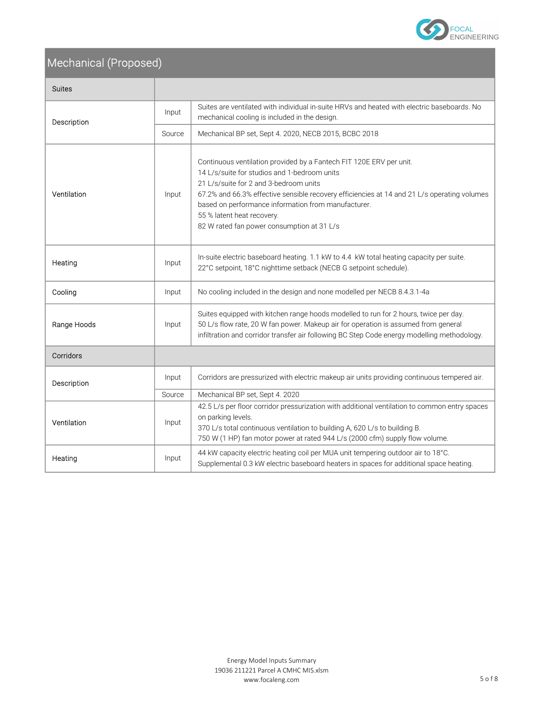

## Mechanical (Proposed)

| <b>Suites</b> |        |                                                                                                                                                                                                                                                                                                                                                                                                 |  |  |
|---------------|--------|-------------------------------------------------------------------------------------------------------------------------------------------------------------------------------------------------------------------------------------------------------------------------------------------------------------------------------------------------------------------------------------------------|--|--|
| Description   | Input  | Suites are ventilated with individual in-suite HRVs and heated with electric baseboards. No<br>mechanical cooling is included in the design.                                                                                                                                                                                                                                                    |  |  |
|               | Source | Mechanical BP set, Sept 4. 2020, NECB 2015, BCBC 2018                                                                                                                                                                                                                                                                                                                                           |  |  |
| Ventilation   | Input  | Continuous ventilation provided by a Fantech FIT 120E ERV per unit.<br>14 L/s/suite for studios and 1-bedroom units<br>21 L/s/suite for 2 and 3-bedroom units<br>67.2% and 66.3% effective sensible recovery efficiencies at 14 and 21 L/s operating volumes<br>based on performance information from manufacturer.<br>55 % latent heat recovery.<br>82 W rated fan power consumption at 31 L/s |  |  |
| Heating       | Input  | In-suite electric baseboard heating. 1.1 kW to 4.4 kW total heating capacity per suite.<br>22°C setpoint, 18°C nighttime setback (NECB G setpoint schedule).                                                                                                                                                                                                                                    |  |  |
| Cooling       | Input  | No cooling included in the design and none modelled per NECB 8.4.3.1-4a                                                                                                                                                                                                                                                                                                                         |  |  |
| Range Hoods   | Input  | Suites equipped with kitchen range hoods modelled to run for 2 hours, twice per day.<br>50 L/s flow rate, 20 W fan power. Makeup air for operation is assumed from general<br>infiltration and corridor transfer air following BC Step Code energy modelling methodology.                                                                                                                       |  |  |
| Corridors     |        |                                                                                                                                                                                                                                                                                                                                                                                                 |  |  |
| Description   | Input  | Corridors are pressurized with electric makeup air units providing continuous tempered air.                                                                                                                                                                                                                                                                                                     |  |  |
|               | Source | Mechanical BP set, Sept 4. 2020                                                                                                                                                                                                                                                                                                                                                                 |  |  |
| Ventilation   | Input  | 42.5 L/s per floor corridor pressurization with additional ventilation to common entry spaces<br>on parking levels.<br>370 L/s total continuous ventilation to building A, 620 L/s to building B.<br>750 W (1 HP) fan motor power at rated 944 L/s (2000 cfm) supply flow volume.                                                                                                               |  |  |
| Heating       | Input  | 44 kW capacity electric heating coil per MUA unit tempering outdoor air to 18°C.<br>Supplemental 0.3 kW electric baseboard heaters in spaces for additional space heating.                                                                                                                                                                                                                      |  |  |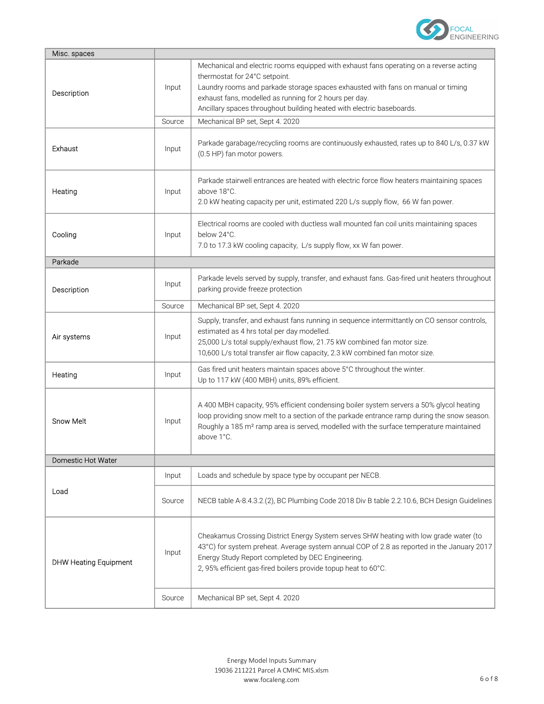

| Misc. spaces                 |        |                                                                                                                                                                                                                                                                                                                                                |  |
|------------------------------|--------|------------------------------------------------------------------------------------------------------------------------------------------------------------------------------------------------------------------------------------------------------------------------------------------------------------------------------------------------|--|
| Description                  | Input  | Mechanical and electric rooms equipped with exhaust fans operating on a reverse acting<br>thermostat for 24°C setpoint.<br>Laundry rooms and parkade storage spaces exhausted with fans on manual or timing<br>exhaust fans, modelled as running for 2 hours per day.<br>Ancillary spaces throughout building heated with electric baseboards. |  |
|                              | Source | Mechanical BP set, Sept 4. 2020                                                                                                                                                                                                                                                                                                                |  |
| Exhaust                      | Input  | Parkade garabage/recycling rooms are continuously exhausted, rates up to 840 L/s, 0.37 kW<br>(0.5 HP) fan motor powers.                                                                                                                                                                                                                        |  |
| Heating                      | Input  | Parkade stairwell entrances are heated with electric force flow heaters maintaining spaces<br>above 18°C.<br>2.0 kW heating capacity per unit, estimated 220 L/s supply flow, 66 W fan power.                                                                                                                                                  |  |
| Cooling                      | Input  | Electrical rooms are cooled with ductless wall mounted fan coil units maintaining spaces<br>below 24°C.<br>7.0 to 17.3 kW cooling capacity, L/s supply flow, xx W fan power.                                                                                                                                                                   |  |
| Parkade                      |        |                                                                                                                                                                                                                                                                                                                                                |  |
| Description                  | Input  | Parkade levels served by supply, transfer, and exhaust fans. Gas-fired unit heaters throughout<br>parking provide freeze protection                                                                                                                                                                                                            |  |
|                              | Source | Mechanical BP set, Sept 4. 2020                                                                                                                                                                                                                                                                                                                |  |
| Air systems                  | Input  | Supply, transfer, and exhaust fans running in sequence intermittantly on CO sensor controls,<br>estimated as 4 hrs total per day modelled.<br>25,000 L/s total supply/exhaust flow, 21.75 kW combined fan motor size.<br>10,600 L/s total transfer air flow capacity, 2.3 kW combined fan motor size.                                          |  |
| Heating                      | Input  | Gas fired unit heaters maintain spaces above 5°C throughout the winter.<br>Up to 117 kW (400 MBH) units, 89% efficient.                                                                                                                                                                                                                        |  |
| <b>Snow Melt</b>             | Input  | A 400 MBH capacity, 95% efficient condensing boiler system servers a 50% glycol heating<br>loop providing snow melt to a section of the parkade entrance ramp during the snow season.<br>Roughly a 185 m <sup>2</sup> ramp area is served, modelled with the surface temperature maintained<br>above 1°C.                                      |  |
| Domestic Hot Water           |        |                                                                                                                                                                                                                                                                                                                                                |  |
| Load                         | Input  | Loads and schedule by space type by occupant per NECB.                                                                                                                                                                                                                                                                                         |  |
|                              | Source | NECB table A-8.4.3.2.(2), BC Plumbing Code 2018 Div B table 2.2.10.6, BCH Design Guidelines                                                                                                                                                                                                                                                    |  |
| <b>DHW Heating Equipment</b> | Input  | Cheakamus Crossing District Energy System serves SHW heating with low grade water (to<br>43°C) for system preheat. Average system annual COP of 2.8 as reported in the January 2017<br>Energy Study Report completed by DEC Engineering.<br>2, 95% efficient gas-fired boilers provide topup heat to 60°C.                                     |  |
|                              | Source | Mechanical BP set, Sept 4. 2020                                                                                                                                                                                                                                                                                                                |  |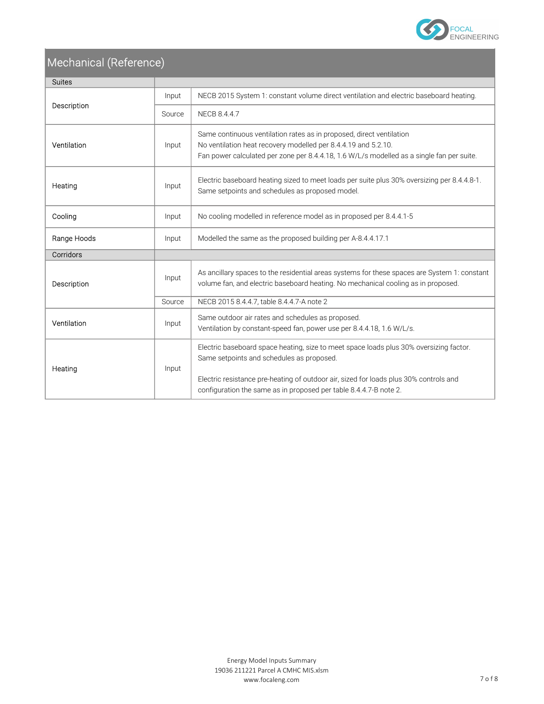

## Mechanical (Reference)

| <b>Suites</b>                                                 |        |                                                                                                                                                                                                                                                      |  |  |  |
|---------------------------------------------------------------|--------|------------------------------------------------------------------------------------------------------------------------------------------------------------------------------------------------------------------------------------------------------|--|--|--|
|                                                               | Input  | NECB 2015 System 1: constant volume direct ventilation and electric baseboard heating.                                                                                                                                                               |  |  |  |
| Description                                                   | Source | NECB 8.4.4.7                                                                                                                                                                                                                                         |  |  |  |
| Ventilation                                                   | Input  | Same continuous ventilation rates as in proposed, direct ventilation<br>No ventilation heat recovery modelled per 8.4.4.19 and 5.2.10.<br>Fan power calculated per zone per 8.4.4.18, 1.6 W/L/s modelled as a single fan per suite.                  |  |  |  |
| Heating                                                       | Input  | Electric baseboard heating sized to meet loads per suite plus 30% oversizing per 8.4.4.8-1.<br>Same setpoints and schedules as proposed model.                                                                                                       |  |  |  |
| Cooling                                                       | Input  | No cooling modelled in reference model as in proposed per 8.4.4.1-5                                                                                                                                                                                  |  |  |  |
| Range Hoods                                                   | Input  | Modelled the same as the proposed building per A-8.4.4.17.1                                                                                                                                                                                          |  |  |  |
| Corridors                                                     |        |                                                                                                                                                                                                                                                      |  |  |  |
| Description                                                   | Input  | As ancillary spaces to the residential areas systems for these spaces are System 1: constant<br>volume fan, and electric baseboard heating. No mechanical cooling as in proposed.                                                                    |  |  |  |
|                                                               | Source | NECB 2015 8.4.4.7, table 8.4.4.7-A note 2                                                                                                                                                                                                            |  |  |  |
| Ventilation                                                   | Input  | Same outdoor air rates and schedules as proposed.<br>Ventilation by constant-speed fan, power use per 8.4.4.18, 1.6 W/L/s.                                                                                                                           |  |  |  |
| Same setpoints and schedules as proposed.<br>Heating<br>Input |        | Electric baseboard space heating, size to meet space loads plus 30% oversizing factor.<br>Electric resistance pre-heating of outdoor air, sized for loads plus 30% controls and<br>configuration the same as in proposed per table 8.4.4.7-B note 2. |  |  |  |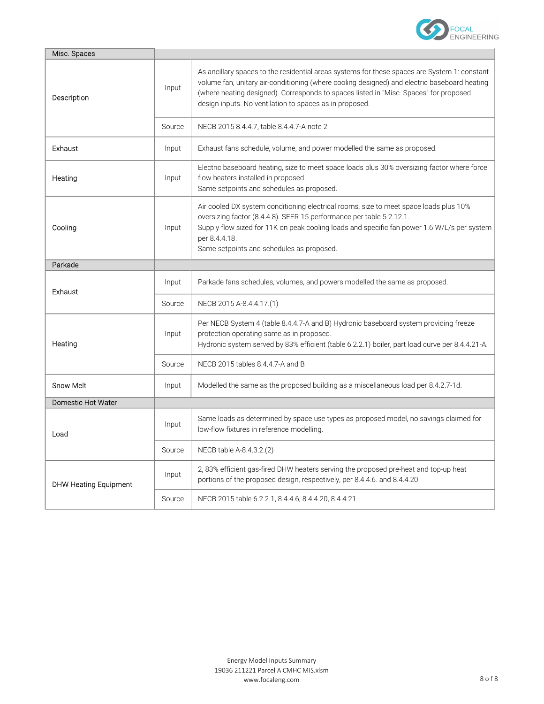

| Misc. Spaces                 |        |                                                                                                                                                                                                                                                                                                                                                  |  |  |  |
|------------------------------|--------|--------------------------------------------------------------------------------------------------------------------------------------------------------------------------------------------------------------------------------------------------------------------------------------------------------------------------------------------------|--|--|--|
| Description                  | Input  | As ancillary spaces to the residential areas systems for these spaces are System 1: constant<br>volume fan, unitary air-conditioning (where cooling designed) and electric baseboard heating<br>(where heating designed). Corresponds to spaces listed in "Misc. Spaces" for proposed<br>design inputs. No ventilation to spaces as in proposed. |  |  |  |
|                              | Source | NECB 2015 8.4.4.7, table 8.4.4.7-A note 2                                                                                                                                                                                                                                                                                                        |  |  |  |
| Exhaust                      | Input  | Exhaust fans schedule, volume, and power modelled the same as proposed.                                                                                                                                                                                                                                                                          |  |  |  |
| Heating                      | Input  | Electric baseboard heating, size to meet space loads plus 30% oversizing factor where force<br>flow heaters installed in proposed.<br>Same setpoints and schedules as proposed.                                                                                                                                                                  |  |  |  |
| Cooling                      | Input  | Air cooled DX system conditioning electrical rooms, size to meet space loads plus 10%<br>oversizing factor (8.4.4.8). SEER 15 performance per table 5.2.12.1.<br>Supply flow sized for 11K on peak cooling loads and specific fan power 1.6 W/L/s per system<br>per 8.4.4.18.<br>Same setpoints and schedules as proposed.                       |  |  |  |
| Parkade                      |        |                                                                                                                                                                                                                                                                                                                                                  |  |  |  |
| Exhaust                      | Input  | Parkade fans schedules, volumes, and powers modelled the same as proposed.                                                                                                                                                                                                                                                                       |  |  |  |
|                              | Source | NECB 2015 A-8.4.4.17.(1)                                                                                                                                                                                                                                                                                                                         |  |  |  |
| Heating                      | Input  | Per NECB System 4 (table 8.4.4.7-A and B) Hydronic baseboard system providing freeze<br>protection operating same as in proposed.<br>Hydronic system served by 83% efficient (table 6.2.2.1) boiler, part load curve per 8.4.4.21-A.                                                                                                             |  |  |  |
|                              | Source | NECB 2015 tables 8.4.4.7-A and B                                                                                                                                                                                                                                                                                                                 |  |  |  |
| <b>Snow Melt</b>             | Input  | Modelled the same as the proposed building as a miscellaneous load per 8.4.2.7-1d.                                                                                                                                                                                                                                                               |  |  |  |
| Domestic Hot Water           |        |                                                                                                                                                                                                                                                                                                                                                  |  |  |  |
| Load                         | Input  | Same loads as determined by space use types as proposed model, no savings claimed for<br>low-flow fixtures in reference modelling.                                                                                                                                                                                                               |  |  |  |
|                              | Source | NECB table A-8.4.3.2.(2)                                                                                                                                                                                                                                                                                                                         |  |  |  |
| <b>DHW Heating Equipment</b> | Input  | 2, 83% efficient gas-fired DHW heaters serving the proposed pre-heat and top-up heat<br>portions of the proposed design, respectively, per 8.4.4.6. and 8.4.4.20                                                                                                                                                                                 |  |  |  |
|                              | Source | NECB 2015 table 6.2.2.1, 8.4.4.6, 8.4.4.20, 8.4.4.21                                                                                                                                                                                                                                                                                             |  |  |  |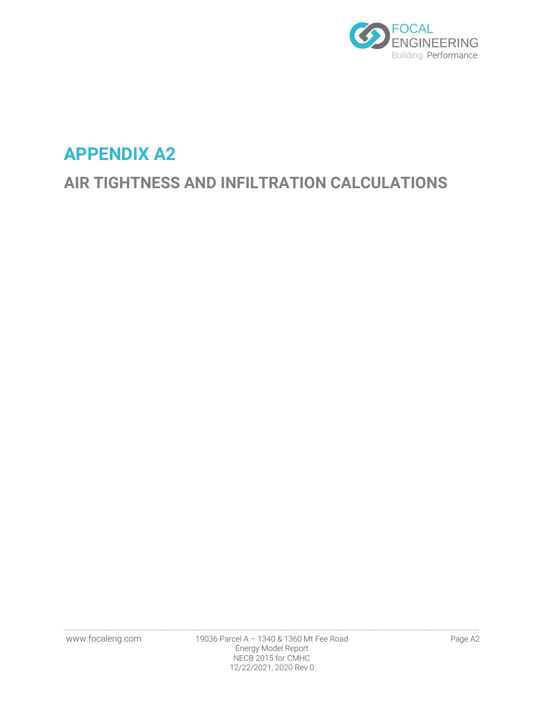

# **APPENDIX A2**

# **AIR TIGHTNESS AND INFILTRATION CALCULATIONS**